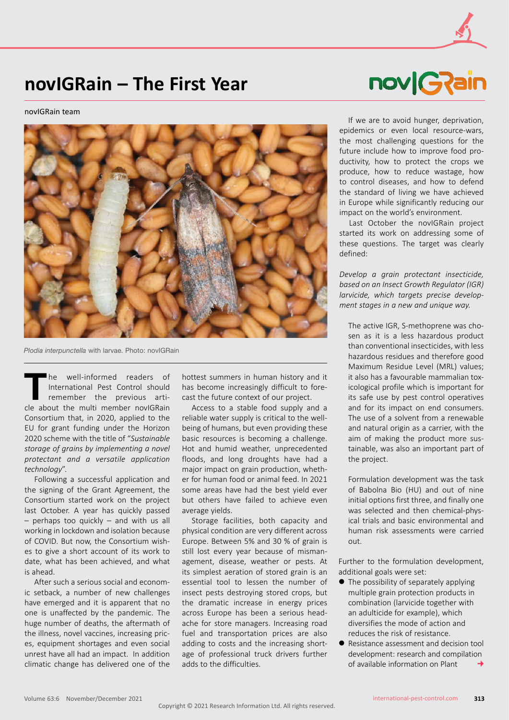## **novIGRain – The First Year**

novIGRain team



*Plodia interpunctella* with larvae. Photo: novIGRain

The well-informed readers of<br>International Pest Control should<br>remember the previous arti-<br>cle about the multi member novlGRain International Pest Control should remember the previous article about the multi member novIGRain Consortium that, in 2020, applied to the EU for grant funding under the Horizon 2020 scheme with the title of "*Sustainable storage of grains by implementing a novel protectant and a versatile application technology*".

Following a successful application and the signing of the Grant Agreement, the Consortium started work on the project last October. A year has quickly passed – perhaps too quickly – and with us all working in lockdown and isolation because of COVID. But now, the Consortium wishes to give a short account of its work to date, what has been achieved, and what is ahead.

After such a serious social and economic setback, a number of new challenges have emerged and it is apparent that no one is unaffected by the pandemic. The huge number of deaths, the aftermath of the illness, novel vaccines, increasing prices, equipment shortages and even social unrest have all had an impact. In addition climatic change has delivered one of the

hottest summers in human history and it has become increasingly difficult to forecast the future context of our project.

Access to a stable food supply and a reliable water supply is critical to the wellbeing of humans, but even providing these basic resources is becoming a challenge. Hot and humid weather, unprecedented floods, and long droughts have had a major impact on grain production, whether for human food or animal feed. In 2021 some areas have had the best yield ever but others have failed to achieve even average yields.

Storage facilities, both capacity and physical condition are very different across Europe. Between 5% and 30 % of grain is still lost every year because of mismanagement, disease, weather or pests. At its simplest aeration of stored grain is an essential tool to lessen the number of insect pests destroying stored crops, but the dramatic increase in energy prices across Europe has been a serious headache for store managers. Increasing road fuel and transportation prices are also adding to costs and the increasing shortage of professional truck drivers further adds to the difficulties.



If we are to avoid hunger, deprivation, epidemics or even local resource-wars, the most challenging questions for the future include how to improve food productivity, how to protect the crops we produce, how to reduce wastage, how to control diseases, and how to defend the standard of living we have achieved in Europe while significantly reducing our impact on the world's environment.

Last October the novIGRain project started its work on addressing some of these questions. The target was clearly defined:

*Develop a grain protectant insecticide, based on an Insect Growth Regulator (IGR) larvicide, which targets precise development stages in a new and unique way.*

The active IGR, S-methoprene was chosen as it is a less hazardous product than conventional insecticides, with less hazardous residues and therefore good Maximum Residue Level (MRL) values; it also has a favourable mammalian toxicological profile which is important for its safe use by pest control operatives and for its impact on end consumers. The use of a solvent from a renewable and natural origin as a carrier, with the aim of making the product more sustainable, was also an important part of the project.

Formulation development was the task of Babolna Bio (HU) and out of nine initial options first three, and finally one was selected and then chemical-physical trials and basic environmental and human risk assessments were carried out.

Further to the formulation development, additional goals were set:

- $\bullet$  The possibility of separately applying multiple grain protection products in combination (larvicide together with an adulticide for example), which diversifies the mode of action and reduces the risk of resistance.
- Resistance assessment and decision tool development: research and compilation of available information on Plant  $\rightarrow$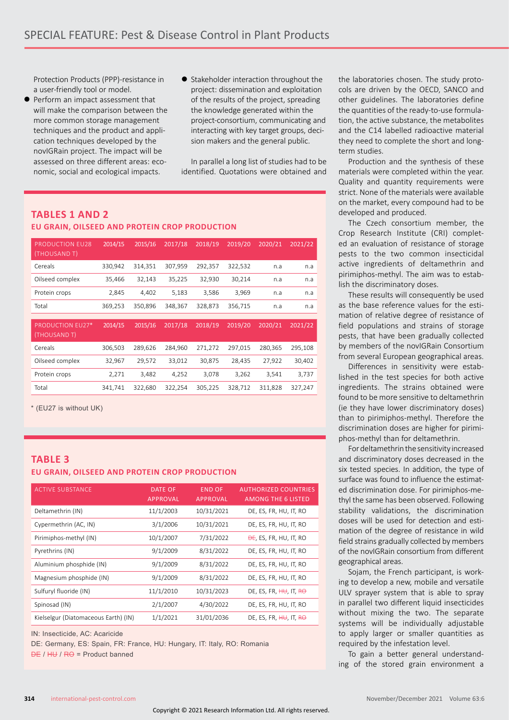Protection Products (PPP)-resistance in a user-friendly tool or model.

- Perform an impact assessment that will make the comparison between the more common storage management techniques and the product and application techniques developed by the novIGRain project. The impact will be assessed on three different areas: economic, social and ecological impacts.
- Stakeholder interaction throughout the project: dissemination and exploitation of the results of the project, spreading the knowledge generated within the project-consortium, communicating and interacting with key target groups, decision makers and the general public.

In parallel a long list of studies had to be identified. Quotations were obtained and

## **TABLES 1 AND 2 EU GRAIN, OILSEED AND PROTEIN CROP PRODUCTION**

| <b>PRODUCTION EU28</b><br>(THOUSAND T)  | 2014/15 | 2015/16 | 2017/18 | 2018/19 | 2019/20 | 2020/21 | 2021/22 |
|-----------------------------------------|---------|---------|---------|---------|---------|---------|---------|
| Cereals                                 | 330,942 | 314,351 | 307,959 | 292,357 | 322,532 | n.a     | n.a     |
| Oilseed complex                         | 35,466  | 32,143  | 35,225  | 32,930  | 30,214  | n.a     | n.a     |
| Protein crops                           | 2,845   | 4,402   | 5,183   | 3,586   | 3,969   | n.a     | n.a     |
| Total                                   | 369,253 | 350,896 | 348,367 | 328,873 | 356,715 | n.a     | n.a     |
|                                         |         |         |         |         |         |         |         |
| <b>PRODUCTION EU27*</b><br>(THOUSAND T) | 2014/15 | 2015/16 | 2017/18 | 2018/19 | 2019/20 | 2020/21 | 2021/22 |
| Cereals                                 | 306,503 | 289,626 | 284,960 | 271,272 | 297,015 | 280,365 | 295,108 |
| Oilseed complex                         | 32,967  | 29,572  | 33,012  | 30,875  | 28,435  | 27,922  | 30,402  |
| Protein crops                           | 2,271   | 3,482   | 4,252   | 3,078   | 3,262   | 3,541   | 3,737   |
| Total                                   | 341,741 | 322,680 | 322,254 | 305,225 | 328,712 | 311,828 | 327,247 |

\* (EU27 is without UK)

## **TABLE 3 EU GRAIN, OILSEED AND PROTEIN CROP PRODUCTION**

| <b>ACTIVE SUBSTANCE</b>              | <b>DATE OF</b><br><b>APPROVAL</b> | <b>END OF</b><br><b>APPROVAL</b> | <b>AUTHORIZED COUNTRIES</b><br><b>AMONG THE 6 LISTED</b> |
|--------------------------------------|-----------------------------------|----------------------------------|----------------------------------------------------------|
| Deltamethrin (IN)                    | 11/1/2003                         | 10/31/2021                       | DE, ES, FR, HU, IT, RO                                   |
| Cypermethrin (AC, IN)                | 3/1/2006                          | 10/31/2021                       | DE, ES, FR, HU, IT, RO                                   |
| Pirimiphos-methyl (IN)               | 10/1/2007                         | 7/31/2022                        | <b>DE, ES, FR, HU, IT, RO</b>                            |
| Pyrethrins (IN)                      | 9/1/2009                          | 8/31/2022                        | DE, ES, FR, HU, IT, RO                                   |
| Aluminium phosphide (IN)             | 9/1/2009                          | 8/31/2022                        | DE, ES, FR, HU, IT, RO                                   |
| Magnesium phosphide (IN)             | 9/1/2009                          | 8/31/2022                        | DE, ES, FR, HU, IT, RO                                   |
| Sulfuryl fluoride (IN)               | 11/1/2010                         | 10/31/2023                       | DE, ES, FR, $HH$ , IT, RO                                |
| Spinosad (IN)                        | 2/1/2007                          | 4/30/2022                        | DE, ES, FR, HU, IT, RO                                   |
| Kielselgur (Diatomaceous Earth) (IN) | 1/1/2021                          | 31/01/2036                       | DE, ES, FR, $HH$ , IT, RO                                |

IN: Insecticide, AC: Acaricide

DE: Germany, ES: Spain, FR: France, HU: Hungary, IT: Italy, RO: Romania  $DE / HU / RO = Product banned$ 

the laboratories chosen. The study protocols are driven by the OECD, SANCO and other guidelines. The laboratories define the quantities of the ready-to-use formulation, the active substance, the metabolites and the C14 labelled radioactive material they need to complete the short and longterm studies.

Production and the synthesis of these materials were completed within the year. Quality and quantity requirements were strict. None of the materials were available on the market, every compound had to be developed and produced.

The Czech consortium member, the Crop Research Institute (CRI) completed an evaluation of resistance of storage pests to the two common insecticidal active ingredients of deltamethrin and pirimiphos-methyl. The aim was to establish the discriminatory doses.

These results will consequently be used as the base reference values for the estimation of relative degree of resistance of field populations and strains of storage pests, that have been gradually collected by members of the novIGRain Consortium from several European geographical areas.

Differences in sensitivity were established in the test species for both active ingredients. The strains obtained were found to be more sensitive to deltamethrin (ie they have lower discriminatory doses) than to pirimiphos-methyl. Therefore the discrimination doses are higher for pirimiphos-methyl than for deltamethrin.

For deltamethrin the sensitivity increased and discriminatory doses decreased in the six tested species. In addition, the type of surface was found to influence the estimated discrimination dose. For pirimiphos-methyl the same has been observed. Following stability validations, the discrimination doses will be used for detection and estimation of the degree of resistance in wild field strains gradually collected by members of the novIGRain consortium from different geographical areas.

Sojam, the French participant, is working to develop a new, mobile and versatile ULV sprayer system that is able to spray in parallel two different liquid insecticides without mixing the two. The separate systems will be individually adjustable to apply larger or smaller quantities as required by the infestation level.

To gain a better general understanding of the stored grain environment a